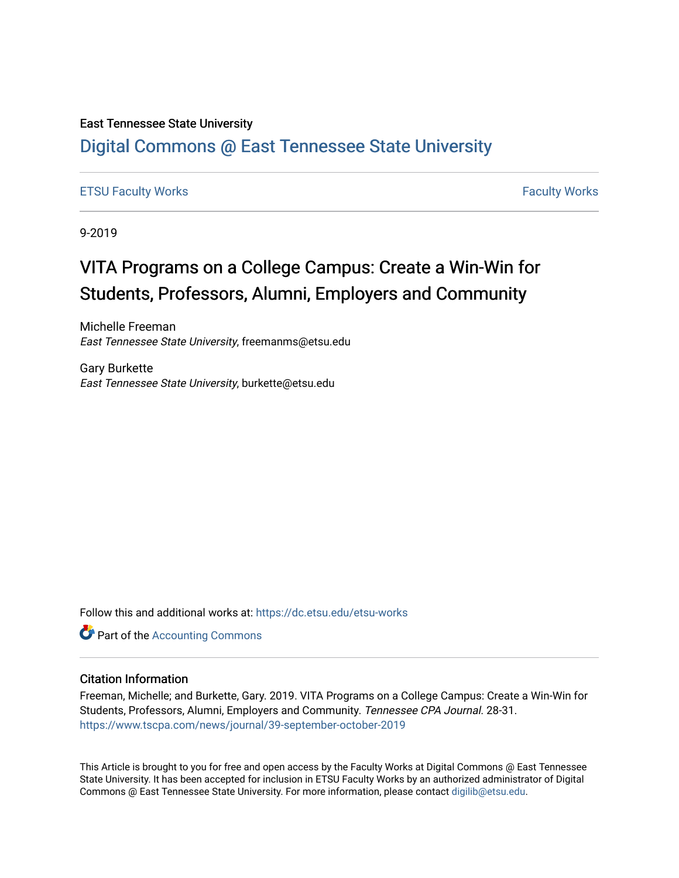#### East Tennessee State University

#### [Digital Commons @ East Tennessee State University](https://dc.etsu.edu/)

#### [ETSU Faculty Works](https://dc.etsu.edu/etsu-works) [Faculty Works](https://dc.etsu.edu/faculty-works)

9-2019

### VITA Programs on a College Campus: Create a Win-Win for Students, Professors, Alumni, Employers and Community

Michelle Freeman East Tennessee State University, freemanms@etsu.edu

Gary Burkette East Tennessee State University, burkette@etsu.edu

Follow this and additional works at: [https://dc.etsu.edu/etsu-works](https://dc.etsu.edu/etsu-works?utm_source=dc.etsu.edu%2Fetsu-works%2F6426&utm_medium=PDF&utm_campaign=PDFCoverPages) 

**C** Part of the [Accounting Commons](http://network.bepress.com/hgg/discipline/625?utm_source=dc.etsu.edu%2Fetsu-works%2F6426&utm_medium=PDF&utm_campaign=PDFCoverPages)

#### Citation Information

Freeman, Michelle; and Burkette, Gary. 2019. VITA Programs on a College Campus: Create a Win-Win for Students, Professors, Alumni, Employers and Community. Tennessee CPA Journal. 28-31. <https://www.tscpa.com/news/journal/39-september-october-2019>

This Article is brought to you for free and open access by the Faculty Works at Digital Commons @ East Tennessee State University. It has been accepted for inclusion in ETSU Faculty Works by an authorized administrator of Digital Commons @ East Tennessee State University. For more information, please contact [digilib@etsu.edu.](mailto:digilib@etsu.edu)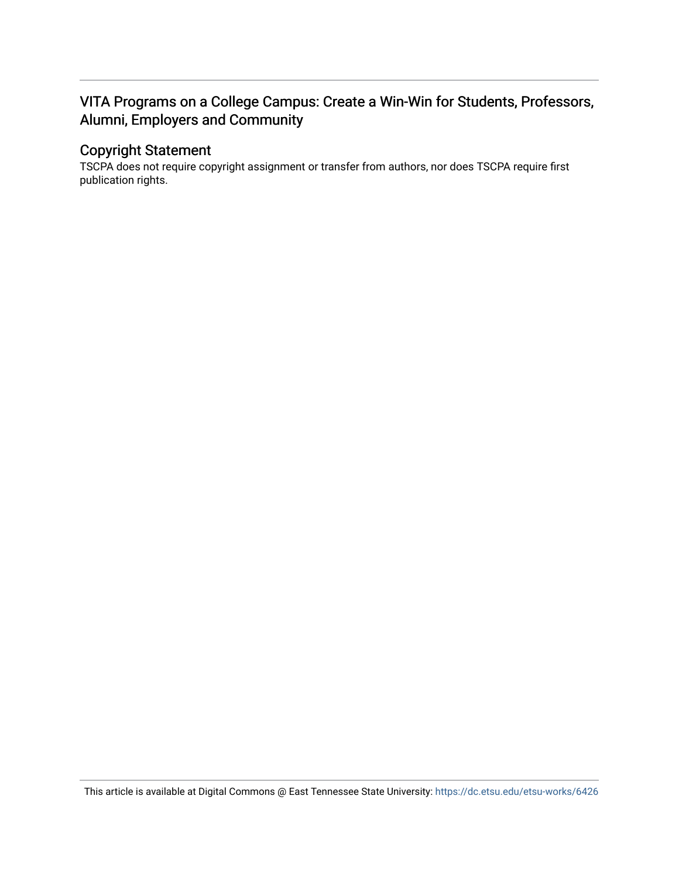#### VITA Programs on a College Campus: Create a Win-Win for Students, Professors, Alumni, Employers and Community

#### Copyright Statement

TSCPA does not require copyright assignment or transfer from authors, nor does TSCPA require first publication rights.

This article is available at Digital Commons @ East Tennessee State University: <https://dc.etsu.edu/etsu-works/6426>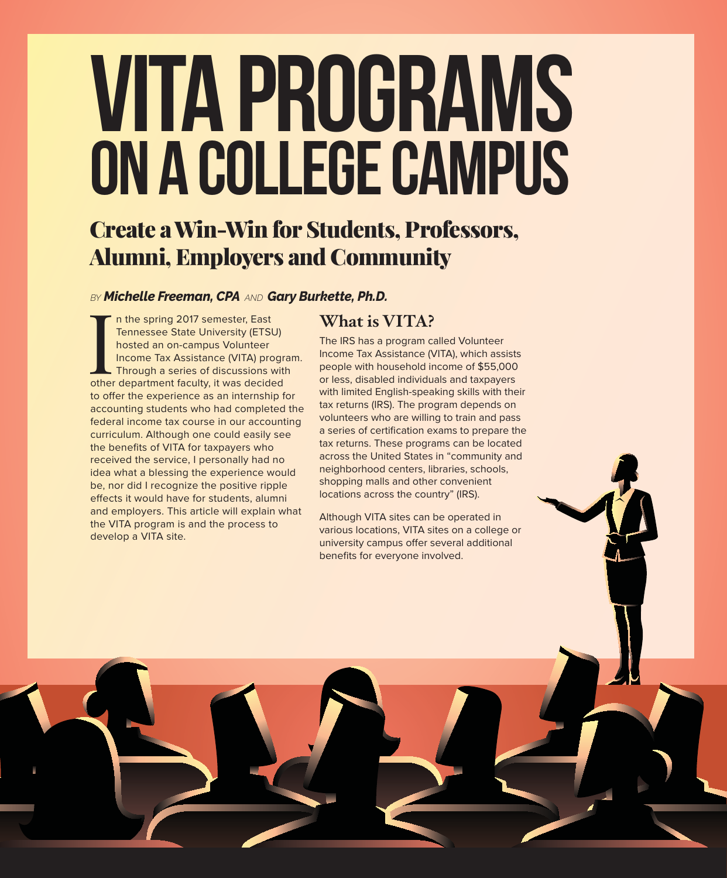# VITA Programs on a College Campus

## Create a Win-Win for Students, Professors, Alumni, Employers and Community

#### $BY$ *Michelle Freeman, CPA AND Gary Burkette, Ph.D.*

In the spring 2017 semester, East<br>
Tennessee State University (ETSU)<br>
hosted an on-campus Volunteer<br>
Income Tax Assistance (VITA) progr<br>
Through a series of discussions with<br>
other department faculty, it was decided n the spring 2017 semester, East Tennessee State University (ETSU) hosted an on-campus Volunteer Income Tax Assistance (VITA) program. Through a series of discussions with to offer the experience as an internship for accounting students who had completed the federal income tax course in our accounting curriculum. Although one could easily see the benefits of VITA for taxpayers who received the service, I personally had no idea what a blessing the experience would be, nor did I recognize the positive ripple effects it would have for students, alumni and employers. This article will explain what the VITA program is and the process to develop a VITA site.

#### **What is VITA?**

The IRS has a program called Volunteer Income Tax Assistance (VITA), which assists people with household income of \$55,000 or less, disabled individuals and taxpayers with limited English-speaking skills with their tax returns (IRS). The program depends on volunteers who are willing to train and pass a series of certification exams to prepare the tax returns. These programs can be located across the United States in "community and neighborhood centers, libraries, schools, shopping malls and other convenient locations across the country" (IRS).

Although VITA sites can be operated in various locations, VITA sites on a college or university campus offer several additional benefits for everyone involved.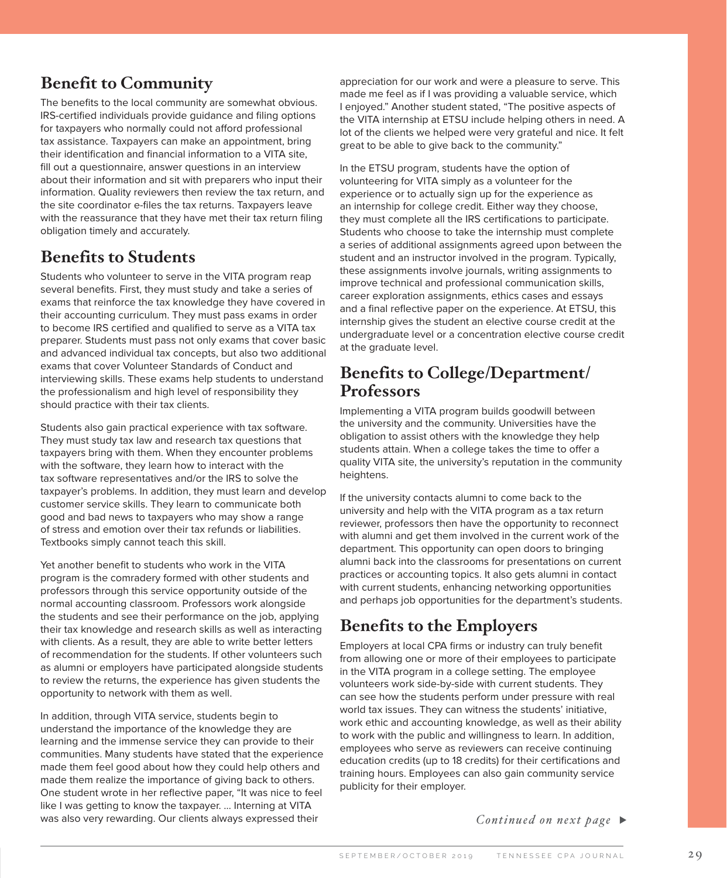#### **Benefit to Community**

The benefits to the local community are somewhat obvious. IRS-certified individuals provide guidance and filing options for taxpayers who normally could not afford professional tax assistance. Taxpayers can make an appointment, bring their identification and financial information to a VITA site, fill out a questionnaire, answer questions in an interview about their information and sit with preparers who input their information. Quality reviewers then review the tax return, and the site coordinator e-files the tax returns. Taxpayers leave with the reassurance that they have met their tax return filing obligation timely and accurately.

#### **Benefits to Students**

Students who volunteer to serve in the VITA program reap several benefits. First, they must study and take a series of exams that reinforce the tax knowledge they have covered in their accounting curriculum. They must pass exams in order to become IRS certified and qualified to serve as a VITA tax preparer. Students must pass not only exams that cover basic and advanced individual tax concepts, but also two additional exams that cover Volunteer Standards of Conduct and interviewing skills. These exams help students to understand the professionalism and high level of responsibility they should practice with their tax clients.

Students also gain practical experience with tax software. They must study tax law and research tax questions that taxpayers bring with them. When they encounter problems with the software, they learn how to interact with the tax software representatives and/or the IRS to solve the taxpayer's problems. In addition, they must learn and develop customer service skills. They learn to communicate both good and bad news to taxpayers who may show a range of stress and emotion over their tax refunds or liabilities. Textbooks simply cannot teach this skill.

Yet another benefit to students who work in the VITA program is the comradery formed with other students and professors through this service opportunity outside of the normal accounting classroom. Professors work alongside the students and see their performance on the job, applying their tax knowledge and research skills as well as interacting with clients. As a result, they are able to write better letters of recommendation for the students. If other volunteers such as alumni or employers have participated alongside students to review the returns, the experience has given students the opportunity to network with them as well.

In addition, through VITA service, students begin to understand the importance of the knowledge they are learning and the immense service they can provide to their communities. Many students have stated that the experience made them feel good about how they could help others and made them realize the importance of giving back to others. One student wrote in her reflective paper, "It was nice to feel like I was getting to know the taxpayer. … Interning at VITA was also very rewarding. Our clients always expressed their

appreciation for our work and were a pleasure to serve. This made me feel as if I was providing a valuable service, which I enjoyed." Another student stated, "The positive aspects of the VITA internship at ETSU include helping others in need. A lot of the clients we helped were very grateful and nice. It felt great to be able to give back to the community."

In the ETSU program, students have the option of volunteering for VITA simply as a volunteer for the experience or to actually sign up for the experience as an internship for college credit. Either way they choose, they must complete all the IRS certifications to participate. Students who choose to take the internship must complete a series of additional assignments agreed upon between the student and an instructor involved in the program. Typically, these assignments involve journals, writing assignments to improve technical and professional communication skills, career exploration assignments, ethics cases and essays and a final reflective paper on the experience. At ETSU, this internship gives the student an elective course credit at the undergraduate level or a concentration elective course credit at the graduate level.

#### **Benefits to College/Department/ Professors**

Implementing a VITA program builds goodwill between the university and the community. Universities have the obligation to assist others with the knowledge they help students attain. When a college takes the time to offer a quality VITA site, the university's reputation in the community heightens.

If the university contacts alumni to come back to the university and help with the VITA program as a tax return reviewer, professors then have the opportunity to reconnect with alumni and get them involved in the current work of the department. This opportunity can open doors to bringing alumni back into the classrooms for presentations on current practices or accounting topics. It also gets alumni in contact with current students, enhancing networking opportunities and perhaps job opportunities for the department's students.

#### **Benefits to the Employers**

Employers at local CPA firms or industry can truly benefit from allowing one or more of their employees to participate in the VITA program in a college setting. The employee volunteers work side-by-side with current students. They can see how the students perform under pressure with real world tax issues. They can witness the students' initiative, work ethic and accounting knowledge, as well as their ability to work with the public and willingness to learn. In addition, employees who serve as reviewers can receive continuing education credits (up to 18 credits) for their certifications and training hours. Employees can also gain community service publicity for their employer.

*Continued on next page* -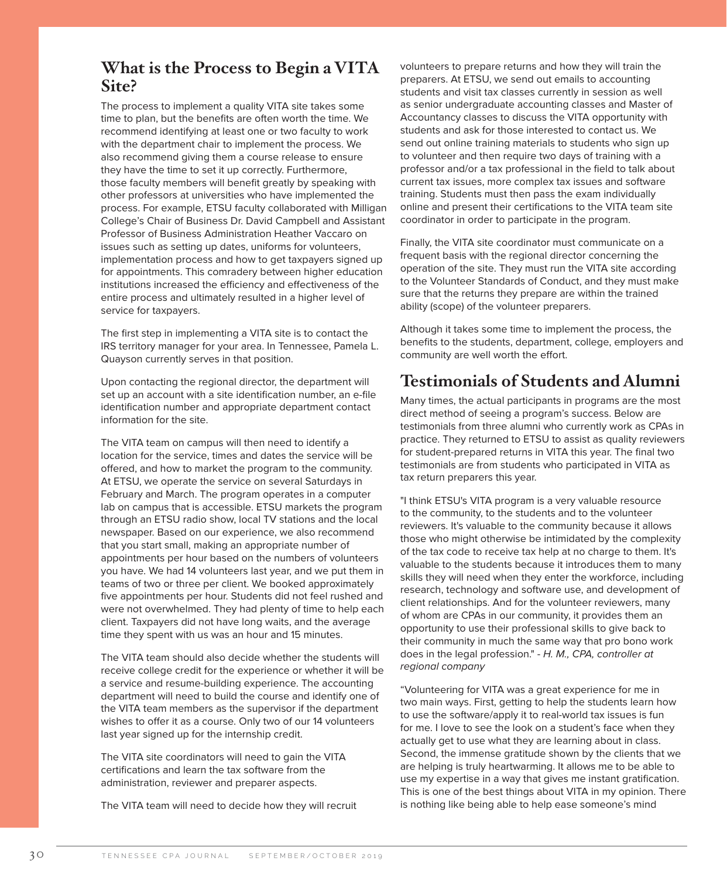#### **What is the Process to Begin a VITA Site?**

The process to implement a quality VITA site takes some time to plan, but the benefits are often worth the time. We recommend identifying at least one or two faculty to work with the department chair to implement the process. We also recommend giving them a course release to ensure they have the time to set it up correctly. Furthermore, those faculty members will benefit greatly by speaking with other professors at universities who have implemented the process. For example, ETSU faculty collaborated with Milligan College's Chair of Business Dr. David Campbell and Assistant Professor of Business Administration Heather Vaccaro on issues such as setting up dates, uniforms for volunteers, implementation process and how to get taxpayers signed up for appointments. This comradery between higher education institutions increased the efficiency and effectiveness of the entire process and ultimately resulted in a higher level of service for taxpayers.

The first step in implementing a VITA site is to contact the IRS territory manager for your area. In Tennessee, Pamela L. Quayson currently serves in that position.

Upon contacting the regional director, the department will set up an account with a site identification number, an e-file identification number and appropriate department contact information for the site.

The VITA team on campus will then need to identify a location for the service, times and dates the service will be offered, and how to market the program to the community. At ETSU, we operate the service on several Saturdays in February and March. The program operates in a computer lab on campus that is accessible. ETSU markets the program through an ETSU radio show, local TV stations and the local newspaper. Based on our experience, we also recommend that you start small, making an appropriate number of appointments per hour based on the numbers of volunteers you have. We had 14 volunteers last year, and we put them in teams of two or three per client. We booked approximately five appointments per hour. Students did not feel rushed and were not overwhelmed. They had plenty of time to help each client. Taxpayers did not have long waits, and the average time they spent with us was an hour and 15 minutes.

The VITA team should also decide whether the students will receive college credit for the experience or whether it will be a service and resume-building experience. The accounting department will need to build the course and identify one of the VITA team members as the supervisor if the department wishes to offer it as a course. Only two of our 14 volunteers last year signed up for the internship credit.

The VITA site coordinators will need to gain the VITA certifications and learn the tax software from the administration, reviewer and preparer aspects.

The VITA team will need to decide how they will recruit

volunteers to prepare returns and how they will train the preparers. At ETSU, we send out emails to accounting students and visit tax classes currently in session as well as senior undergraduate accounting classes and Master of Accountancy classes to discuss the VITA opportunity with students and ask for those interested to contact us. We send out online training materials to students who sign up to volunteer and then require two days of training with a professor and/or a tax professional in the field to talk about current tax issues, more complex tax issues and software training. Students must then pass the exam individually online and present their certifications to the VITA team site coordinator in order to participate in the program.

Finally, the VITA site coordinator must communicate on a frequent basis with the regional director concerning the operation of the site. They must run the VITA site according to the Volunteer Standards of Conduct, and they must make sure that the returns they prepare are within the trained ability (scope) of the volunteer preparers.

Although it takes some time to implement the process, the benefits to the students, department, college, employers and community are well worth the effort.

#### **Testimonials of Students and Alumni**

Many times, the actual participants in programs are the most direct method of seeing a program's success. Below are testimonials from three alumni who currently work as CPAs in practice. They returned to ETSU to assist as quality reviewers for student-prepared returns in VITA this year. The final two testimonials are from students who participated in VITA as tax return preparers this year.

"I think ETSU's VITA program is a very valuable resource to the community, to the students and to the volunteer reviewers. It's valuable to the community because it allows those who might otherwise be intimidated by the complexity of the tax code to receive tax help at no charge to them. It's valuable to the students because it introduces them to many skills they will need when they enter the workforce, including research, technology and software use, and development of client relationships. And for the volunteer reviewers, many of whom are CPAs in our community, it provides them an opportunity to use their professional skills to give back to their community in much the same way that pro bono work does in the legal profession." - H. M., CPA, controller at regional company

"Volunteering for VITA was a great experience for me in two main ways. First, getting to help the students learn how to use the software/apply it to real-world tax issues is fun for me. I love to see the look on a student's face when they actually get to use what they are learning about in class. Second, the immense gratitude shown by the clients that we are helping is truly heartwarming. It allows me to be able to use my expertise in a way that gives me instant gratification. This is one of the best things about VITA in my opinion. There is nothing like being able to help ease someone's mind